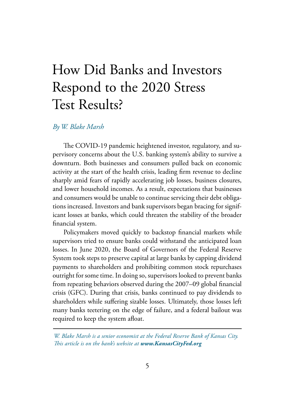# How Did Banks and Investors Respond to the 2020 Stress Test Results?

#### *By W. Blake Marsh*

The COVID-19 pandemic heightened investor, regulatory, and supervisory concerns about the U.S. banking system's ability to survive a downturn. Both businesses and consumers pulled back on economic activity at the start of the health crisis, leading firm revenue to decline sharply amid fears of rapidly accelerating job losses, business closures, and lower household incomes. As a result, expectations that businesses and consumers would be unable to continue servicing their debt obligations increased. Investors and bank supervisors began bracing for significant losses at banks, which could threaten the stability of the broader financial system.

Policymakers moved quickly to backstop financial markets while supervisors tried to ensure banks could withstand the anticipated loan losses. In June 2020, the Board of Governors of the Federal Reserve System took steps to preserve capital at large banks by capping dividend payments to shareholders and prohibiting common stock repurchases outright for some time. In doing so, supervisors looked to prevent banks from repeating behaviors observed during the 2007–09 global financial crisis (GFC). During that crisis, banks continued to pay dividends to shareholders while suffering sizable losses. Ultimately, those losses left many banks teetering on the edge of failure, and a federal bailout was required to keep the system afloat.

*W. Blake Marsh is a senior economist at the Federal Reserve Bank of Kansas City. This article is on the bank's website at www.KansasCityFed.org*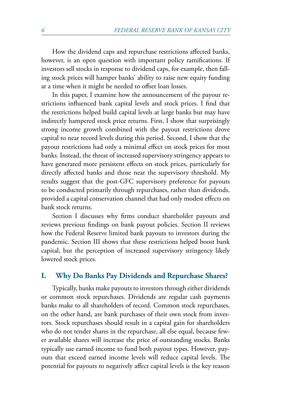How the dividend caps and repurchase restrictions affected banks, however, is an open question with important policy ramifications. If investors sell stocks in response to dividend caps, for example, then falling stock prices will hamper banks' ability to raise new equity funding at a time when it might be needed to offset loan losses.

In this paper, I examine how the announcement of the payout restrictions influenced bank capital levels and stock prices. I find that the restrictions helped build capital levels at large banks but may have indirectly hampered stock price returns. First, I show that surprisingly strong income growth combined with the payout restrictions drove capital to near record levels during this period. Second, I show that the payout restrictions had only a minimal effect on stock prices for most banks. Instead, the threat of increased supervisory stringency appears to have generated more persistent effects on stock prices, particularly for directly affected banks and those near the supervisory threshold. My results suggest that the post-GFC supervisory preference for payouts to be conducted primarily through repurchases, rather than dividends, provided a capital conservation channel that had only modest effects on bank stock returns.

Section I discusses why firms conduct shareholder payouts and reviews previous findings on bank payout policies. Section II reviews how the Federal Reserve limited bank payouts to investors during the pandemic. Section III shows that these restrictions helped boost bank capital, but the perception of increased supervisory stringency likely lowered stock prices.

#### **I. Why Do Banks Pay Dividends and Repurchase Shares?**

Typically, banks make payouts to investors through either dividends or common stock repurchases. Dividends are regular cash payments banks make to all shareholders of record. Common stock repurchases, on the other hand, are bank purchases of their own stock from investors. Stock repurchases should result in a capital gain for shareholders who do not tender shares in the repurchase, all else equal, because fewer available shares will increase the price of outstanding stocks. Banks typically use earned income to fund both payout types. However, payouts that exceed earned income levels will reduce capital levels. The potential for payouts to negatively affect capital levels is the key reason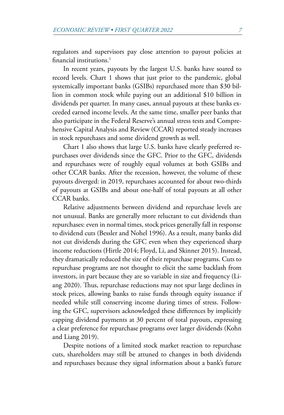<span id="page-2-0"></span>regulators and supervisors pay close attention to payout policies at financial institutions.<sup>[1](#page-14-0)</sup>

In recent years, payouts by the largest U.S. banks have soared to record levels. Chart 1 shows that just prior to the pandemic, global systemically important banks (GSIBs) repurchased more than \$30 billion in common stock while paying out an additional \$10 billion in dividends per quarter. In many cases, annual payouts at these banks exceeded earned income levels. At the same time, smaller peer banks that also participate in the Federal Reserve's annual stress tests and Comprehensive Capital Analysis and Review (CCAR) reported steady increases in stock repurchases and some dividend growth as well.

Chart 1 also shows that large U.S. banks have clearly preferred repurchases over dividends since the GFC. Prior to the GFC, dividends and repurchases were of roughly equal volumes at both GSIBs and other CCAR banks. After the recession, however, the volume of these payouts diverged: in 2019, repurchases accounted for about two-thirds of payouts at GSIBs and about one-half of total payouts at all other CCAR banks.

Relative adjustments between dividend and repurchase levels are not unusual. Banks are generally more reluctant to cut dividends than repurchases: even in normal times, stock prices generally fall in response to dividend cuts (Bessler and Nohel 1996). As a result, many banks did not cut dividends during the GFC even when they experienced sharp income reductions (Hirtle 2014; Floyd, Li, and Skinner 2015). Instead, they dramatically reduced the size of their repurchase programs. Cuts to repurchase programs are not thought to elicit the same backlash from investors, in part because they are so variable in size and frequency (Liang 2020). Thus, repurchase reductions may not spur large declines in stock prices, allowing banks to raise funds through equity issuance if needed while still conserving income during times of stress. Following the GFC, supervisors acknowledged these differences by implicitly capping dividend payments at 30 percent of total payouts, expressing a clear preference for repurchase programs over larger dividends (Kohn and Liang 2019).

Despite notions of a limited stock market reaction to repurchase cuts, shareholders may still be attuned to changes in both dividends and repurchases because they signal information about a bank's future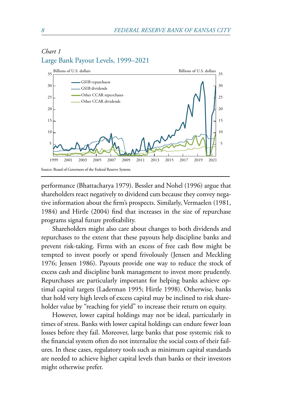## *Chart 1* Large Bank Payout Levels, 1999–2021



performance (Bhattacharya 1979). Bessler and Nohel (1996) argue that shareholders react negatively to dividend cuts because they convey negative information about the firm's prospects. Similarly, Vermaelen (1981, 1984) and Hirtle (2004) find that increases in the size of repurchase programs signal future profitability.

Shareholders might also care about changes to both dividends and repurchases to the extent that these payouts help discipline banks and prevent risk-taking. Firms with an excess of free cash flow might be tempted to invest poorly or spend frivolously (Jensen and Meckling 1976; Jensen 1986). Payouts provide one way to reduce the stock of excess cash and discipline bank management to invest more prudently. Repurchases are particularly important for helping banks achieve optimal capital targets (Laderman 1995; Hirtle 1998). Otherwise, banks that hold very high levels of excess capital may be inclined to risk shareholder value by "reaching for yield" to increase their return on equity.

However, lower capital holdings may not be ideal, particularly in times of stress. Banks with lower capital holdings can endure fewer loan losses before they fail. Moreover, large banks that pose systemic risk to the financial system often do not internalize the social costs of their failures. In these cases, regulatory tools such as minimum capital standards are needed to achieve higher capital levels than banks or their investors might otherwise prefer.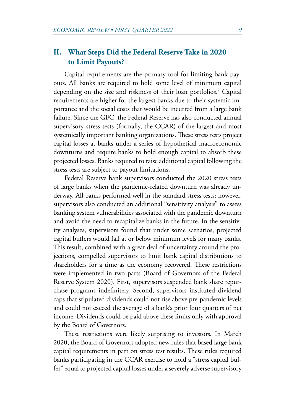# <span id="page-4-0"></span>**II. What Steps Did the Federal Reserve Take in 2020 to Limit Payouts?**

Capital requirements are the primary tool for limiting bank payouts. All banks are required to hold some level of minimum capital depending on the size and riskiness of their loan portfolios.<sup>[2](#page-14-0)</sup> Capital requirements are higher for the largest banks due to their systemic importance and the social costs that would be incurred from a large bank failure. Since the GFC, the Federal Reserve has also conducted annual supervisory stress tests (formally, the CCAR) of the largest and most systemically important banking organizations. These stress tests project capital losses at banks under a series of hypothetical macroeconomic downturns and require banks to hold enough capital to absorb these projected losses. Banks required to raise additional capital following the stress tests are subject to payout limitations.

Federal Reserve bank supervisors conducted the 2020 stress tests of large banks when the pandemic-related downturn was already underway. All banks performed well in the standard stress tests; however, supervisors also conducted an additional "sensitivity analysis" to assess banking system vulnerabilities associated with the pandemic downturn and avoid the need to recapitalize banks in the future. In the sensitivity analyses, supervisors found that under some scenarios, projected capital buffers would fall at or below minimum levels for many banks. This result, combined with a great deal of uncertainty around the projections, compelled supervisors to limit bank capital distributions to shareholders for a time as the economy recovered. These restrictions were implemented in two parts (Board of Governors of the Federal Reserve System 2020). First, supervisors suspended bank share repurchase programs indefinitely. Second, supervisors instituted dividend caps that stipulated dividends could not rise above pre-pandemic levels and could not exceed the average of a bank's prior four quarters of net income. Dividends could be paid above these limits only with approval by the Board of Governors.

These restrictions were likely surprising to investors. In March 2020, the Board of Governors adopted new rules that based large bank capital requirements in part on stress test results. These rules required banks participating in the CCAR exercise to hold a "stress capital buffer" equal to projected capital losses under a severely adverse supervisory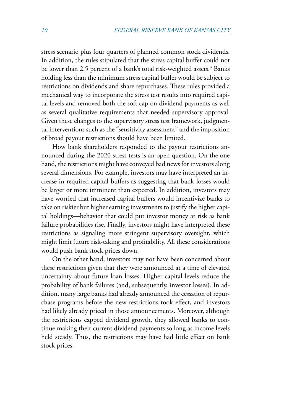<span id="page-5-0"></span>stress scenario plus four quarters of planned common stock dividends. In addition, the rules stipulated that the stress capital buffer could not be lower than 2.5 percent of a bank's total risk-weighted assets.<sup>[3](#page-14-0)</sup> Banks holding less than the minimum stress capital buffer would be subject to restrictions on dividends and share repurchases. These rules provided a mechanical way to incorporate the stress test results into required capital levels and removed both the soft cap on dividend payments as well as several qualitative requirements that needed supervisory approval. Given these changes to the supervisory stress test framework, judgmental interventions such as the "sensitivity assessment" and the imposition of broad payout restrictions should have been limited.

How bank shareholders responded to the payout restrictions announced during the 2020 stress tests is an open question. On the one hand, the restrictions might have conveyed bad news for investors along several dimensions. For example, investors may have interpreted an increase in required capital buffers as suggesting that bank losses would be larger or more imminent than expected. In addition, investors may have worried that increased capital buffers would incentivize banks to take on riskier but higher earning investments to justify the higher capital holdings—behavior that could put investor money at risk as bank failure probabilities rise. Finally, investors might have interpreted these restrictions as signaling more stringent supervisory oversight, which might limit future risk-taking and profitability. All these considerations would push bank stock prices down.

On the other hand, investors may not have been concerned about these restrictions given that they were announced at a time of elevated uncertainty about future loan losses. Higher capital levels reduce the probability of bank failures (and, subsequently, investor losses). In addition, many large banks had already announced the cessation of repurchase programs before the new restrictions took effect, and investors had likely already priced in those announcements. Moreover, although the restrictions capped dividend growth, they allowed banks to continue making their current dividend payments so long as income levels held steady. Thus, the restrictions may have had little effect on bank stock prices.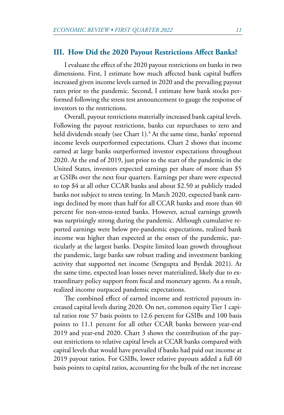#### <span id="page-6-0"></span>**III. How Did the 2020 Payout Restrictions Affect Banks?**

I evaluate the effect of the 2020 payout restrictions on banks in two dimensions. First, I estimate how much affected bank capital buffers increased given income levels earned in 2020 and the prevailing payout rates prior to the pandemic. Second, I estimate how bank stocks performed following the stress test announcement to gauge the response of investors to the restrictions.

Overall, payout restrictions materially increased bank capital levels. Following the payout restrictions, banks cut repurchases to zero and held dividends steady (see Chart 1).<sup>[4](#page-14-0)</sup> At the same time, banks' reported income levels outperformed expectations. Chart 2 shows that income earned at large banks outperformed investor expectations throughout 2020. At the end of 2019, just prior to the start of the pandemic in the United States, investors expected earnings per share of more than \$5 at GSIBs over the next four quarters. Earnings per share were expected to top \$4 at all other CCAR banks and about \$2.50 at publicly traded banks not subject to stress testing. In March 2020, expected bank earnings declined by more than half for all CCAR banks and more than 40 percent for non-stress-tested banks. However, actual earnings growth was surprisingly strong during the pandemic. Although cumulative reported earnings were below pre-pandemic expectations, realized bank income was higher than expected at the onset of the pandemic, particularly at the largest banks. Despite limited loan growth throughout the pandemic, large banks saw robust trading and investment banking activity that supported net income (Sengupta and Byrdak 2021). At the same time, expected loan losses never materialized, likely due to extraordinary policy support from fiscal and monetary agents. As a result, realized income outpaced pandemic expectations.

The combined effect of earned income and restricted payouts increased capital levels during 2020. On net, common equity Tier 1 capital ratios rose 57 basis points to 12.6 percent for GSIBs and 100 basis points to 11.1 percent for all other CCAR banks between year-end 2019 and year-end 2020. Chart 3 shows the contribution of the payout restrictions to relative capital levels at CCAR banks compared with capital levels that would have prevailed if banks had paid out income at 2019 payout ratios. For GSIBs, lower relative payouts added a full 60 basis points to capital ratios, accounting for the bulk of the net increase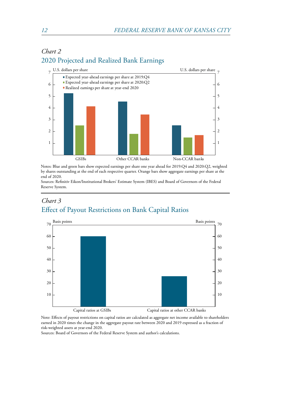

# *Chart 2* 2020 Projected and Realized Bank Earnings

Notes: Blue and green bars show expected earnings per share one year ahead for 2019:Q4 and 2020:Q2, weighted by shares outstanding at the end of each respective quarter. Orange bars show aggregate earnings per share at the end of 2020.

Sources: Refinitiv Eikon/Institutional Brokers' Estimate System (IBES) and Board of Governors of the Federal Reserve System.

## *Chart 3* Effect of Payout Restrictions on Bank Capital Ratios



Note: Effects of payout restrictions on capital ratios are calculated as aggregate net income available to shareholders earned in 2020 times the change in the aggregate payout rate between 2020 and 2019 expressed as a fraction of risk-weighted assets at year-end 2020.

Sources: Board of Governors of the Federal Reserve System and author's calculations.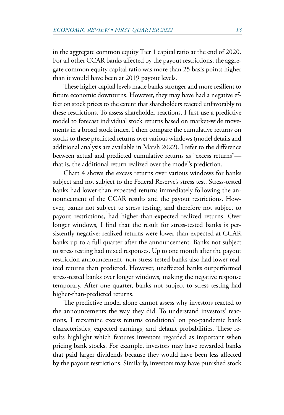in the aggregate common equity Tier 1 capital ratio at the end of 2020. For all other CCAR banks affected by the payout restrictions, the aggregate common equity capital ratio was more than 25 basis points higher than it would have been at 2019 payout levels.

These higher capital levels made banks stronger and more resilient to future economic downturns. However, they may have had a negative effect on stock prices to the extent that shareholders reacted unfavorably to these restrictions. To assess shareholder reactions, I first use a predictive model to forecast individual stock returns based on market-wide movements in a broad stock index. I then compare the cumulative returns on stocks to these predicted returns over various windows (model details and additional analysis are available in Marsh 2022). I refer to the difference between actual and predicted cumulative returns as "excess returns" that is, the additional return realized over the model's prediction.

Chart 4 shows the excess returns over various windows for banks subject and not subject to the Federal Reserve's stress test. Stress-tested banks had lower-than-expected returns immediately following the announcement of the CCAR results and the payout restrictions. However, banks not subject to stress testing, and therefore not subject to payout restrictions, had higher-than-expected realized returns. Over longer windows, I find that the result for stress-tested banks is persistently negative: realized returns were lower than expected at CCAR banks up to a full quarter after the announcement. Banks not subject to stress testing had mixed responses. Up to one month after the payout restriction announcement, non-stress-tested banks also had lower realized returns than predicted. However, unaffected banks outperformed stress-tested banks over longer windows, making the negative response temporary. After one quarter, banks not subject to stress testing had higher-than-predicted returns.

The predictive model alone cannot assess why investors reacted to the announcements the way they did. To understand investors' reactions, I reexamine excess returns conditional on pre-pandemic bank characteristics, expected earnings, and default probabilities. These results highlight which features investors regarded as important when pricing bank stocks. For example, investors may have rewarded banks that paid larger dividends because they would have been less affected by the payout restrictions. Similarly, investors may have punished stock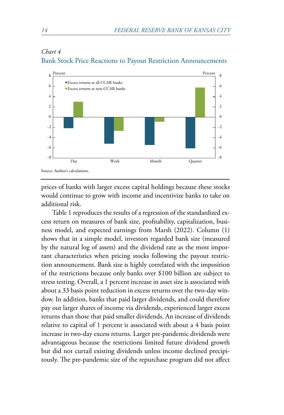

## *Chart 4* Bank Stock Price Reactions to Payout Restriction Announcements

prices of banks with larger excess capital holdings because these stocks would continue to grow with income and incentivize banks to take on additional risk.

Table 1 reproduces the results of a regression of the standardized excess return on measures of bank size, profitability, capitalization, business model, and expected earnings from Marsh (2022). Column (1) shows that in a simple model, investors regarded bank size (measured by the natural log of assets) and the dividend rate as the most important characteristics when pricing stocks following the payout restriction announcement. Bank size is highly correlated with the imposition of the restrictions because only banks over \$100 billion are subject to stress testing. Overall, a 1 percent increase in asset size is associated with about a 33 basis point reduction in excess returns over the two-day window. In addition, banks that paid larger dividends, and could therefore pay out larger shares of income via dividends, experienced larger excess returns than those that paid smaller dividends. An increase of dividends relative to capital of 1 percent is associated with about a 4 basis point increase in two-day excess returns. Larger pre-pandemic dividends were advantageous because the restrictions limited future dividend growth but did not curtail existing dividends unless income declined precipitously. The pre-pandemic size of the repurchase program did not affect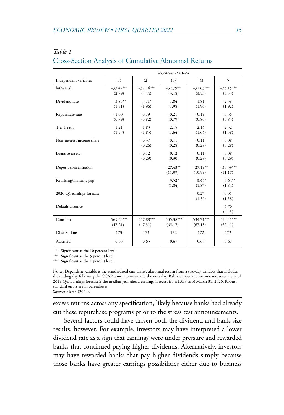|                           | Dependent variable    |                       |                       |                       |                        |
|---------------------------|-----------------------|-----------------------|-----------------------|-----------------------|------------------------|
| Independent variables     | (1)                   | (2)                   | (3)                   | (4)                   | (5)                    |
| ln(A <sub>s</sub> )       | $-33.42***$<br>(2.79) | $-32.14***$<br>(3.44) | $-32.79**$<br>(3.18)  | $-32.63***$<br>(3.53) | $-33.15***$<br>(3.53)  |
| Dividend rate             | $3.85***$<br>(1.91)   | $3.71*$<br>(1.96)     | 1.84<br>(1.98)        | 1.81<br>(1.96)        | 2.38<br>(1.92)         |
| Repurchase rate           | $-1.00$<br>(0.79)     | $-0.79$<br>(0.82)     | $-0.21$<br>(0.79)     | $-0.19$<br>(0.80)     | $-0.36$<br>(0.83)      |
| Tier 1 ratio              | 1.21<br>(1.57)        | 1.83<br>(1.85)        | 2.15<br>(1.64)        | 2.14<br>(1.64)        | 2.32<br>(1.58)         |
| Non-interest income share |                       | $-0.37$<br>(0.26)     | $-0.11$<br>(0.28)     | $-0.11$<br>(0.28)     | $-0.08$<br>(0.28)      |
| Loans to assets           |                       | $-0.12$<br>(0.29)     | 0.12<br>(0.30)        | 0.11<br>(0.28)        | 0.08<br>(0.29)         |
| Deposit concentration     |                       |                       | $-27.43**$<br>(11.09) | $-27.19**$<br>(10.99) | $-30.39***$<br>(11.17) |
| Repricing/maturity gap    |                       |                       | $3.52*$<br>(1.84)     | $3.45*$<br>(1.87)     | $3.64***$<br>(1.84)    |
| 2020:Q1 earnings forecast |                       |                       |                       | $-0.27$<br>(1.59)     | $-0.01$<br>(1.58)      |
| Default distance          |                       |                       |                       |                       | $-6.70$<br>(4.43)      |
| Constant                  | 569.64***<br>(47.21)  | 557.88***<br>(47.31)  | 535.38***<br>(65.17)  | 534.71***<br>(67.13)  | 550.41***<br>(67.41)   |
| Observations              | 173                   | 173                   | 172                   | 172                   | 172                    |
| Adjusted                  | 0.65                  | 0.65                  | 0.67                  | 0.67                  | 0.67                   |

## *Table 1* Cross-Section Analysis of Cumulative Abnormal Returns

\* Significant at the 10 percent level

\*\*\* Significant at the 1 percent level

Notes: Dependent variable is the standardized cumulative abnormal return from a two-day window that includes the trading day following the CCAR announcement and the next day. Balance sheet and income measures are as of 2019:Q4. Earnings forecast is the median year-ahead earnings forecast from IBES as of March 31, 2020. Robust standard errors are in parentheses.

Source: Marsh (2022).

excess returns across any specification, likely because banks had already cut these repurchase programs prior to the stress test announcements.

Several factors could have driven both the dividend and bank size results, however. For example, investors may have interpreted a lower dividend rate as a sign that earnings were under pressure and rewarded banks that continued paying higher dividends. Alternatively, investors may have rewarded banks that pay higher dividends simply because those banks have greater earnings possibilities either due to business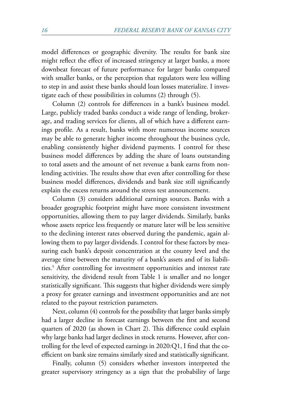<span id="page-11-0"></span>model differences or geographic diversity. The results for bank size might reflect the effect of increased stringency at larger banks, a more downbeat forecast of future performance for larger banks compared with smaller banks, or the perception that regulators were less willing to step in and assist these banks should loan losses materialize. I investigate each of these possibilities in columns (2) through (5).

Column (2) controls for differences in a bank's business model. Large, publicly traded banks conduct a wide range of lending, brokerage, and trading services for clients, all of which have a different earnings profile. As a result, banks with more numerous income sources may be able to generate higher income throughout the business cycle, enabling consistently higher dividend payments. I control for these business model differences by adding the share of loans outstanding to total assets and the amount of net revenue a bank earns from nonlending activities. The results show that even after controlling for these business model differences, dividends and bank size still significantly explain the excess returns around the stress test announcement.

Column (3) considers additional earnings sources. Banks with a broader geographic footprint might have more consistent investment opportunities, allowing them to pay larger dividends. Similarly, banks whose assets reprice less frequently or mature later will be less sensitive to the declining interest rates observed during the pandemic, again allowing them to pay larger dividends. I control for these factors by measuring each bank's deposit concentration at the county level and the average time between the maturity of a bank's assets and of its liabilities.[5](#page-14-0) After controlling for investment opportunities and interest rate sensitivity, the dividend result from Table 1 is smaller and no longer statistically significant. This suggests that higher dividends were simply a proxy for greater earnings and investment opportunities and are not related to the payout restriction parameters.

Next, column (4) controls for the possibility that larger banks simply had a larger decline in forecast earnings between the first and second quarters of 2020 (as shown in Chart 2). This difference could explain why large banks had larger declines in stock returns. However, after controlling for the level of expected earnings in 2020:Q1, I find that the coefficient on bank size remains similarly sized and statistically significant.

Finally, column (5) considers whether investors interpreted the greater supervisory stringency as a sign that the probability of large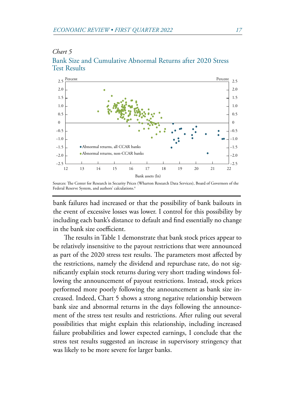



Sources: The Center for Research in Security Prices (Wharton Research Data Services), Board of Governors of the Federal Reserve System, and authors' calculations.<sup>4</sup>

bank failures had increased or that the possibility of bank bailouts in the event of excessive losses was lower. I control for this possibility by including each bank's distance to default and find essentially no change in the bank size coefficient.

The results in Table 1 demonstrate that bank stock prices appear to be relatively insensitive to the payout restrictions that were announced as part of the 2020 stress test results. The parameters most affected by the restrictions, namely the dividend and repurchase rate, do not significantly explain stock returns during very short trading windows following the announcement of payout restrictions. Instead, stock prices performed more poorly following the announcement as bank size increased. Indeed, Chart 5 shows a strong negative relationship between bank size and abnormal returns in the days following the announcement of the stress test results and restrictions. After ruling out several possibilities that might explain this relationship, including increased failure probabilities and lower expected earnings, I conclude that the stress test results suggested an increase in supervisory stringency that was likely to be more severe for larger banks.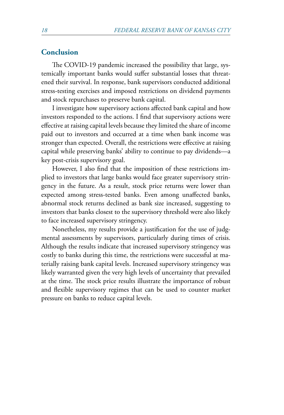## **Conclusion**

The COVID-19 pandemic increased the possibility that large, systemically important banks would suffer substantial losses that threatened their survival. In response, bank supervisors conducted additional stress-testing exercises and imposed restrictions on dividend payments and stock repurchases to preserve bank capital.

I investigate how supervisory actions affected bank capital and how investors responded to the actions. I find that supervisory actions were effective at raising capital levels because they limited the share of income paid out to investors and occurred at a time when bank income was stronger than expected. Overall, the restrictions were effective at raising capital while preserving banks' ability to continue to pay dividends—a key post-crisis supervisory goal.

However, I also find that the imposition of these restrictions implied to investors that large banks would face greater supervisory stringency in the future. As a result, stock price returns were lower than expected among stress-tested banks. Even among unaffected banks, abnormal stock returns declined as bank size increased, suggesting to investors that banks closest to the supervisory threshold were also likely to face increased supervisory stringency.

Nonetheless, my results provide a justification for the use of judgmental assessments by supervisors, particularly during times of crisis. Although the results indicate that increased supervisory stringency was costly to banks during this time, the restrictions were successful at materially raising bank capital levels. Increased supervisory stringency was likely warranted given the very high levels of uncertainty that prevailed at the time. The stock price results illustrate the importance of robust and flexible supervisory regimes that can be used to counter market pressure on banks to reduce capital levels.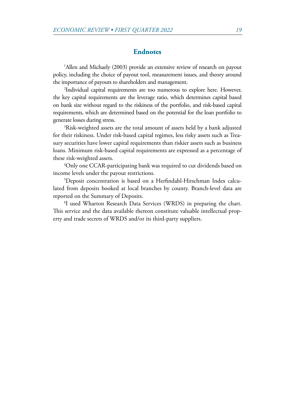#### **Endnotes**

<span id="page-14-0"></span><sup>[1](#page-2-0)</sup>Allen and Michaely (2003) provide an extensive review of research on payout policy, including the choice of payout tool, measurement issues, and theory around the importance of payouts to shareholders and management.

<sup>2</sup>Individual capital requirements are too numerous to explore here. However, the key capital requirements are the leverage ratio, which determines capital based on bank size without regard to the riskiness of the portfolio, and risk-based capital requirements, which are determined based on the potential for the loan portfolio to generate losses during stress. [3](#page-5-0)

<sup>3</sup>Risk-weighted assets are the total amount of assets held by a bank adjusted for their riskiness. Under risk-based capital regimes, less risky assets such as Treasury securities have lower capital requirements than riskier assets such as business loans. Minimum risk-based capital requirements are expressed as a percentage of these risk-weighted assets. [4](#page-6-0)

<sup>4</sup>Only one CCAR-participating bank was required to cut dividends based on income levels under the payout restrictions.

Deposit concentration is based on a Herfindahl-Hirschman Index calculated from deposits booked at local branches by county. Branch-level data are reported on the Summary of Deposits.

<sup>6</sup>I used Wharton Research Data Services (WRDS) in preparing the chart. This service and the data available thereon constitute valuable intellectual property and trade secrets of WRDS and/or its third-party suppliers.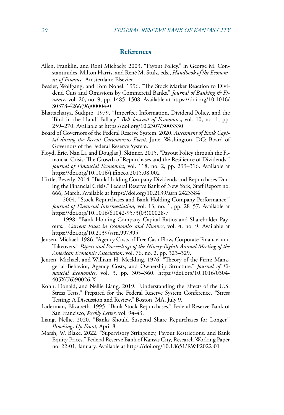#### **References**

- Allen, Franklin, and Roni Michaely. 2003. "Payout Policy," in George M. Constantinides, Milton Harris, and René M. Stulz, eds., *Handbook of the Economics of Finance*. Amsterdam: Elsevier.
- Bessler, Wolfgang, and Tom Nohel. 1996. "The Stock Market Reaction to Dividend Cuts and Omissions by Commercial Banks." *Journal of Banking & Finance*, vol. 20, no. 9, pp. 1485–1508. Available at [https://doi.org/10.1016/](https://doi.org/10.1016/S0378-4266(96)00004-0) [S0378-4266\(96\)00004-0](https://doi.org/10.1016/S0378-4266(96)00004-0)
- Bhattacharya, Sudipto. 1979. "Imperfect Information, Dividend Policy, and the 'Bird in the Hand' Fallacy." *Bell Journal of Economics*, vol. 10, no. 1, pp. 259–270. Available at<https://doi.org/10.2307/3003330>
- Board of Governors of the Federal Reserve System. 2020. *Assessment of Bank Capital during the Recent Coronavirus Event*. June. Washington, DC: Board of Governors of the Federal Reserve System.
- Floyd, Eric, Nan Li, and Douglas J. Skinner. 2015. "Payout Policy through the Financial Crisis: The Growth of Repurchases and the Resilience of Dividends." *Journal of Financial Economics*, vol. 118, no. 2, pp. 299–316. Available at <https://doi.org/10.1016/j.jfineco.2015.08.002>
- Hirtle, Beverly. 2014. "Bank Holding Company Dividends and Repurchases During the Financial Crisis." Federal Reserve Bank of New York, Staff Report no. 666, March. Available at <https://doi.org/10.2139/ssrn.2423384>
	- ———. 2004. "Stock Repurchases and Bank Holding Company Performance." *Journal of Financial Intermediation*, vol. 13, no. 1, pp. 28–57. Available at [https://doi.org/10.1016/S1042-9573\(03\)00028-7](https://doi.org/10.1016/S1042-9573(03)00028-7)
	- ———. 1998. "Bank Holding Company Capital Ratios and Shareholder Payouts." *Current Issues in Economics and Finance*, vol. 4, no. 9. Available at <https://doi.org/10.2139/ssrn.997395>
- Jensen, Michael. 1986. "Agency Costs of Free Cash Flow, Corporate Finance, and Takeovers." *Papers and Proceedings of the Ninety-Eighth Annual Meeting of the American Economic Association*, vol. 76, no. 2, pp. 323–329.
- Jensen, Michael, and William H. Meckling. 1976. "Theory of the Firm: Managerial Behavior, Agency Costs, and Ownership Structure." *Journal of Financial Economics*, vol. 3, pp. 305–360. [https://doi.org/10.1016/0304-](https://doi.org/10.1016/0304-405X(76)90026-X) [405X\(76\)90026-X](https://doi.org/10.1016/0304-405X(76)90026-X)
- Kohn, Donald, and Nellie Liang. 2019. "Understanding the Effects of the U.S. Stress Tests." Prepared for the Federal Reserve System Conference, "Stress Testing: A Discussion and Review," Boston, MA, July 9.
- Laderman, Elizabeth. 1995. "Bank Stock Repurchases." Federal Reserve Bank of San Francisco,*Weekly Letter*, vol. 94-43.
- Liang, Nellie. 2020. "Banks Should Suspend Share Repurchases for Longer." *Brookings Up Front*, April 8.
- Marsh, W. Blake. 2022. "Supervisory Stringency, Payout Restrictions, and Bank Equity Prices." Federal Reserve Bank of Kansas City, Research Working Paper no. 22-01, January. Available at https://doi.org/10.18651/RWP2022-01